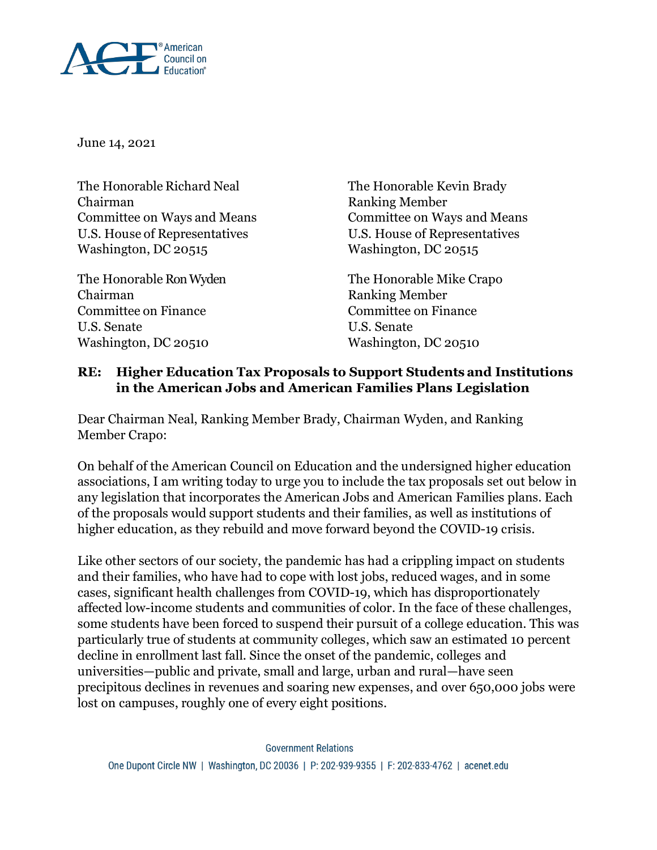

June 14, 2021

The Honorable Richard Neal The Honorable Kevin Brady Chairman Ranking Member Committee on Ways and Means Committee on Ways and Means U.S. House of Representatives U.S. House of Representatives Washington, DC 20515

Chairman Ranking Member Committee on Finance Committee on Finance U.S. Senate U.S. Senate Washington, DC 20510 Washington, DC 20510

The Honorable Ron Wyden The Honorable Mike Crapo

### **RE: Higher Education Tax Proposals to Support Students and Institutions in the American Jobs and American Families Plans Legislation**

Dear Chairman Neal, Ranking Member Brady, Chairman Wyden, and Ranking Member Crapo:

On behalf of the American Council on Education and the undersigned higher education associations, I am writing today to urge you to include the tax proposals set out below in any legislation that incorporates the American Jobs and American Families plans. Each of the proposals would support students and their families, as well as institutions of higher education, as they rebuild and move forward beyond the COVID-19 crisis.

Like other sectors of our society, the pandemic has had a crippling impact on students and their families, who have had to cope with lost jobs, reduced wages, and in some cases, significant health challenges from COVID-19, which has disproportionately affected low-income students and communities of color. In the face of these challenges, some students have been forced to suspend their pursuit of a college education. This was particularly true of students at community colleges, which saw an estimated 10 percent decline in enrollment last fall. Since the onset of the pandemic, colleges and universities—public and private, small and large, urban and rural—have seen precipitous declines in revenues and soaring new expenses, and over 650,000 jobs were lost on campuses, roughly one of every eight positions.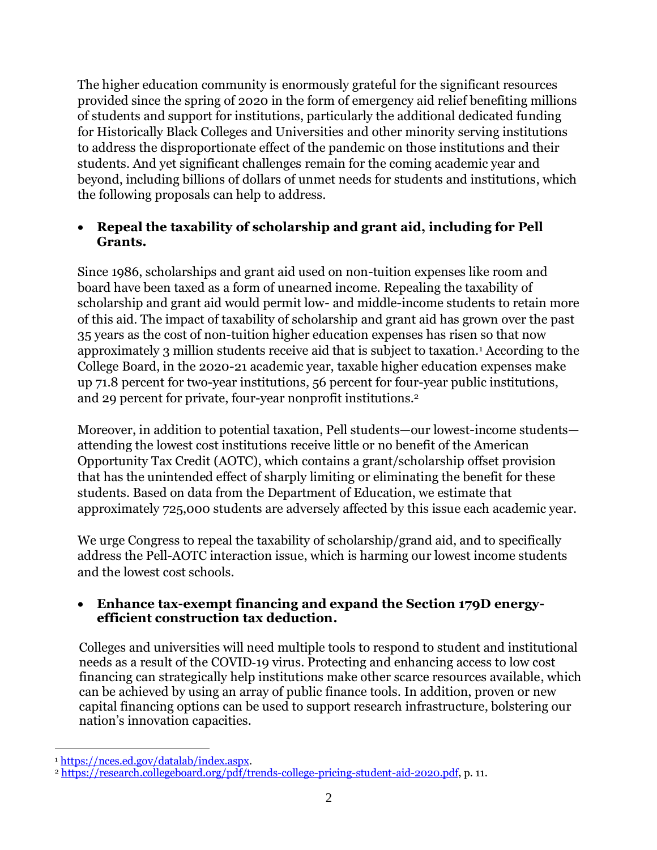The higher education community is enormously grateful for the significant resources provided since the spring of 2020 in the form of emergency aid relief benefiting millions of students and support for institutions, particularly the additional dedicated funding for Historically Black Colleges and Universities and other minority serving institutions to address the disproportionate effect of the pandemic on those institutions and their students. And yet significant challenges remain for the coming academic year and beyond, including billions of dollars of unmet needs for students and institutions, which the following proposals can help to address.

### **Repeal the taxability of scholarship and grant aid, including for Pell Grants.**

Since 1986, scholarships and grant aid used on non-tuition expenses like room and board have been taxed as a form of unearned income. Repealing the taxability of scholarship and grant aid would permit low- and middle-income students to retain more of this aid. The impact of taxability of scholarship and grant aid has grown over the past 35 years as the cost of non-tuition higher education expenses has risen so that now approximately 3 million students receive aid that is subject to taxation.<sup>1</sup> According to the College Board, in the 2020-21 academic year, taxable higher education expenses make up 71.8 percent for two-year institutions, 56 percent for four-year public institutions, and 29 percent for private, four-year nonprofit institutions.<sup>2</sup>

Moreover, in addition to potential taxation, Pell students—our lowest-income students attending the lowest cost institutions receive little or no benefit of the American Opportunity Tax Credit (AOTC), which contains a grant/scholarship offset provision that has the unintended effect of sharply limiting or eliminating the benefit for these students. Based on data from the Department of Education, we estimate that approximately 725,000 students are adversely affected by this issue each academic year.

We urge Congress to repeal the taxability of scholarship/grand aid, and to specifically address the Pell-AOTC interaction issue, which is harming our lowest income students and the lowest cost schools.

### **Enhance tax-exempt financing and expand the Section 179D energyefficient construction tax deduction.**

Colleges and universities will need multiple tools to respond to student and institutional needs as a result of the COVID‐19 virus. Protecting and enhancing access to low cost financing can strategically help institutions make other scarce resources available, which can be achieved by using an array of public finance tools. In addition, proven or new capital financing options can be used to support research infrastructure, bolstering our nation's innovation capacities.

 $\overline{a}$ <sup>1</sup> [https://nces.ed.gov/datalab/index.aspx.](https://nces.ed.gov/datalab/index.aspx)

<sup>2</sup> [https://research.collegeboard.org/pdf/trends-college-pricing-student-aid-2020.pdf,](https://research.collegeboard.org/pdf/trends-college-pricing-student-aid-2020.pdf) p. 11.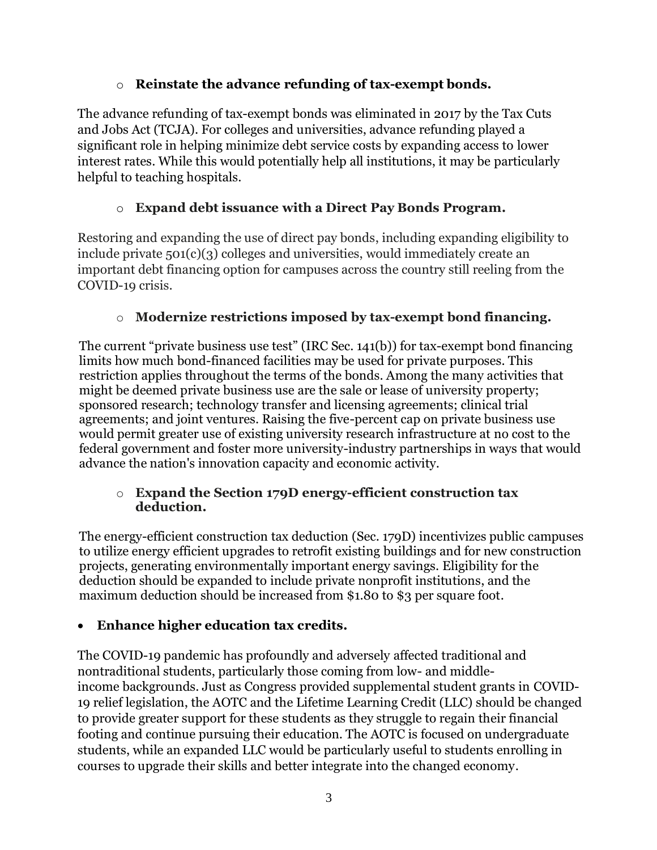## o **Reinstate the advance refunding of tax-exempt bonds.**

The advance refunding of tax-exempt bonds was eliminated in 2017 by the Tax Cuts and Jobs Act (TCJA). For colleges and universities, advance refunding played a significant role in helping minimize debt service costs by expanding access to lower interest rates. While this would potentially help all institutions, it may be particularly helpful to teaching hospitals.

# o **Expand debt issuance with a Direct Pay Bonds Program.**

Restoring and expanding the use of direct pay bonds, including expanding eligibility to include private 501(c)(3) colleges and universities, would immediately create an important debt financing option for campuses across the country still reeling from the COVID-19 crisis.

# o **Modernize restrictions imposed by tax-exempt bond financing.**

The current "private business use test" (IRC Sec. 141(b)) for tax-exempt bond financing limits how much bond-financed facilities may be used for private purposes. This restriction applies throughout the terms of the bonds. Among the many activities that might be deemed private business use are the sale or lease of university property; sponsored research; technology transfer and licensing agreements; clinical trial agreements; and joint ventures. Raising the five-percent cap on private business use would permit greater use of existing university research infrastructure at no cost to the federal government and foster more university-industry partnerships in ways that would advance the nation's innovation capacity and economic activity.

### o **Expand the Section 179D energy-efficient construction tax deduction.**

The energy-efficient construction tax deduction (Sec. 179D) incentivizes public campuses to utilize energy efficient upgrades to retrofit existing buildings and for new construction projects, generating environmentally important energy savings. Eligibility for the deduction should be expanded to include private nonprofit institutions, and the maximum deduction should be increased from \$1.80 to \$3 per square foot.

# **Enhance higher education tax credits.**

The COVID-19 pandemic has profoundly and adversely affected traditional and nontraditional students, particularly those coming from low- and middleincome backgrounds. Just as Congress provided supplemental student grants in COVID-19 relief legislation, the AOTC and the Lifetime Learning Credit (LLC) should be changed to provide greater support for these students as they struggle to regain their financial footing and continue pursuing their education. The AOTC is focused on undergraduate students, while an expanded LLC would be particularly useful to students enrolling in courses to upgrade their skills and better integrate into the changed economy.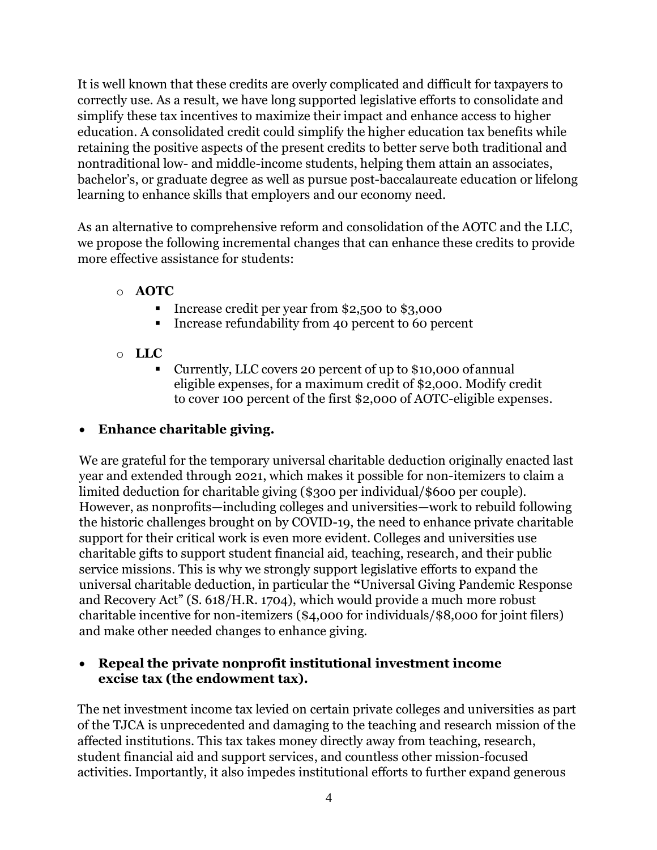It is well known that these credits are overly complicated and difficult for taxpayers to correctly use. As a result, we have long supported legislative efforts to consolidate and simplify these tax incentives to maximize their impact and enhance access to higher education. A consolidated credit could simplify the higher education tax benefits while retaining the positive aspects of the present credits to better serve both traditional and nontraditional low- and middle-income students, helping them attain an associates, bachelor's, or graduate degree as well as pursue post-baccalaureate education or lifelong learning to enhance skills that employers and our economy need.

As an alternative to comprehensive reform and consolidation of the AOTC and the LLC, we propose the following incremental changes that can enhance these credits to provide more effective assistance for students:

#### o **AOTC**

- Increase credit per year from \$2,500 to \$3,000
- Increase refundability from 40 percent to 60 percent
- o **LLC**
	- Currently, LLC covers 20 percent of up to \$10,000 ofannual eligible expenses, for a maximum credit of \$2,000. Modify credit to cover 100 percent of the first \$2,000 of AOTC-eligible expenses.

#### **Enhance charitable giving.**

We are grateful for the temporary universal charitable deduction originally enacted last year and extended through 2021, which makes it possible for non-itemizers to claim a limited deduction for charitable giving (\$300 per individual/\$600 per couple). However, as nonprofits—including colleges and universities—work to rebuild following the historic challenges brought on by COVID-19, the need to enhance private charitable support for their critical work is even more evident. Colleges and universities use charitable gifts to support student financial aid, teaching, research, and their public service missions. This is why we strongly support legislative efforts to expand the universal charitable deduction, in particular the **"**Universal Giving Pandemic Response and Recovery Act" (S. 618/H.R. 1704), which would provide a much more robust charitable incentive for non-itemizers (\$4,000 for individuals/\$8,000 for joint filers) and make other needed changes to enhance giving.

#### **Repeal the private nonprofit institutional investment income excise tax (the endowment tax).**

The net investment income tax levied on certain private colleges and universities as part of the TJCA is unprecedented and damaging to the teaching and research mission of the affected institutions. This tax takes money directly away from teaching, research, student financial aid and support services, and countless other mission-focused activities. Importantly, it also impedes institutional efforts to further expand generous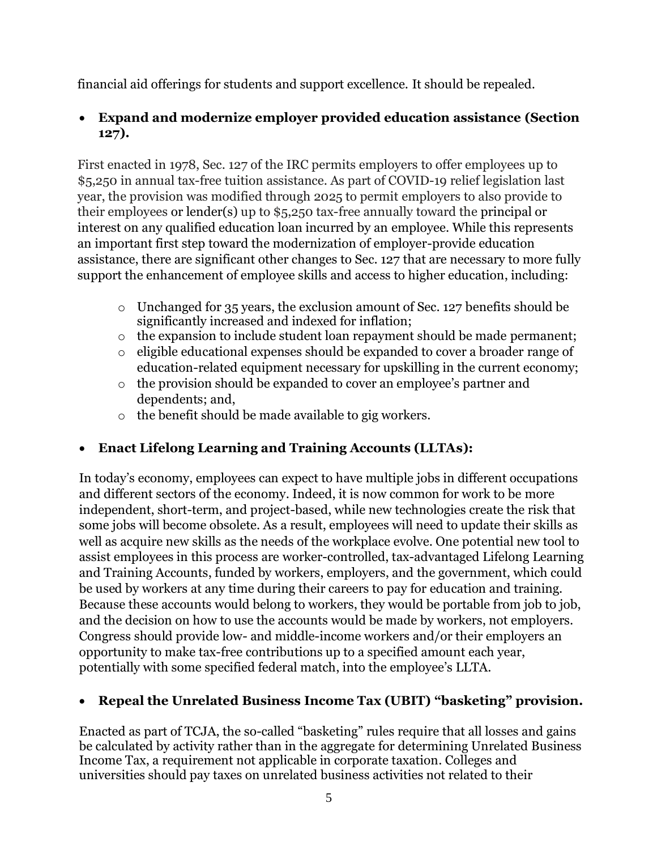financial aid offerings for students and support excellence. It should be repealed.

## **Expand and modernize employer provided education assistance (Section 127).**

First enacted in 1978, Sec. 127 of the IRC permits employers to offer employees up to \$5,250 in annual tax-free tuition assistance. As part of COVID-19 relief legislation last year, the provision was modified through 2025 to permit employers to also provide to their employees or lender(s) up to \$5,250 tax-free annually toward the principal or interest on any qualified education loan incurred by an employee. While this represents an important first step toward the modernization of employer-provide education assistance, there are significant other changes to Sec. 127 that are necessary to more fully support the enhancement of employee skills and access to higher education, including:

- o Unchanged for 35 years, the exclusion amount of Sec. 127 benefits should be significantly increased and indexed for inflation;
- o the expansion to include student loan repayment should be made permanent;
- o eligible educational expenses should be expanded to cover a broader range of education-related equipment necessary for upskilling in the current economy;
- o the provision should be expanded to cover an employee's partner and dependents; and,
- o the benefit should be made available to gig workers.

## **Enact Lifelong Learning and Training Accounts (LLTAs):**

In today's economy, employees can expect to have multiple jobs in different occupations and different sectors of the economy. Indeed, it is now common for work to be more independent, short-term, and project-based, while new technologies create the risk that some jobs will become obsolete. As a result, employees will need to update their skills as well as acquire new skills as the needs of the workplace evolve. One potential new tool to assist employees in this process are worker-controlled, tax-advantaged Lifelong Learning and Training Accounts, funded by workers, employers, and the government, which could be used by workers at any time during their careers to pay for education and training. Because these accounts would belong to workers, they would be portable from job to job, and the decision on how to use the accounts would be made by workers, not employers. Congress should provide low- and middle-income workers and/or their employers an opportunity to make tax-free contributions up to a specified amount each year, potentially with some specified federal match, into the employee's LLTA.

## **Repeal the Unrelated Business Income Tax (UBIT) "basketing" provision.**

Enacted as part of TCJA, the so-called "basketing" rules require that all losses and gains be calculated by activity rather than in the aggregate for determining Unrelated Business Income Tax, a requirement not applicable in corporate taxation. Colleges and universities should pay taxes on unrelated business activities not related to their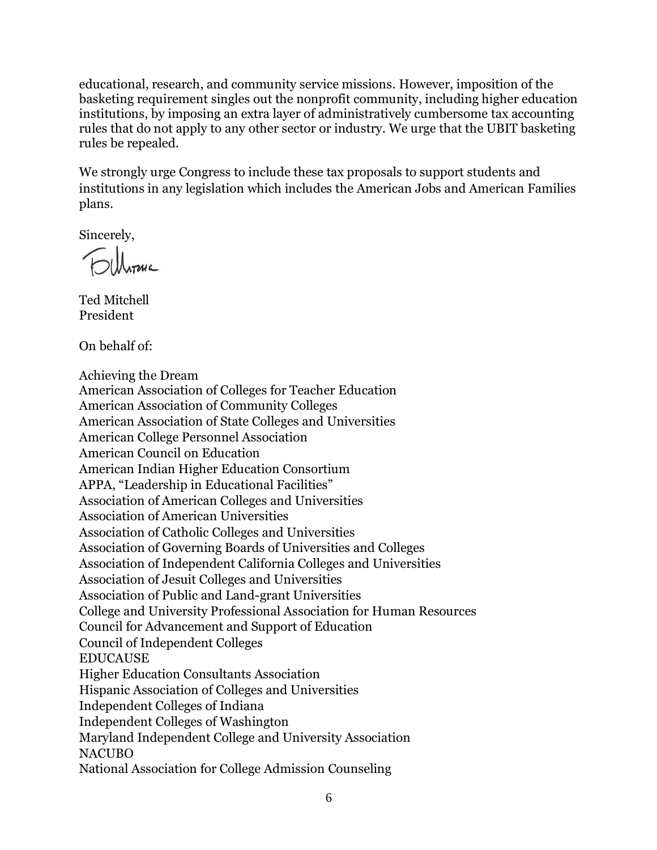educational, research, and community service missions. However, imposition of the basketing requirement singles out the nonprofit community, including higher education institutions, by imposing an extra layer of administratively cumbersome tax accounting rules that do not apply to any other sector or industry. We urge that the UBIT basketing rules be repealed.

We strongly urge Congress to include these tax proposals to support students and institutions in any legislation which includes the American Jobs and American Families plans.

Sincerely,

Ted Mitchell President

On behalf of:

Achieving the Dream American Association of Colleges for Teacher Education American Association of Community Colleges American Association of State Colleges and Universities American College Personnel Association American Council on Education American Indian Higher Education Consortium APPA, "Leadership in Educational Facilities" Association of American Colleges and Universities Association of American Universities Association of Catholic Colleges and Universities Association of Governing Boards of Universities and Colleges Association of Independent California Colleges and Universities Association of Jesuit Colleges and Universities Association of Public and Land-grant Universities College and University Professional Association for Human Resources Council for Advancement and Support of Education Council of Independent Colleges EDUCAUSE Higher Education Consultants Association Hispanic Association of Colleges and Universities Independent Colleges of Indiana Independent Colleges of Washington Maryland Independent College and University Association **NACUBO** National Association for College Admission Counseling